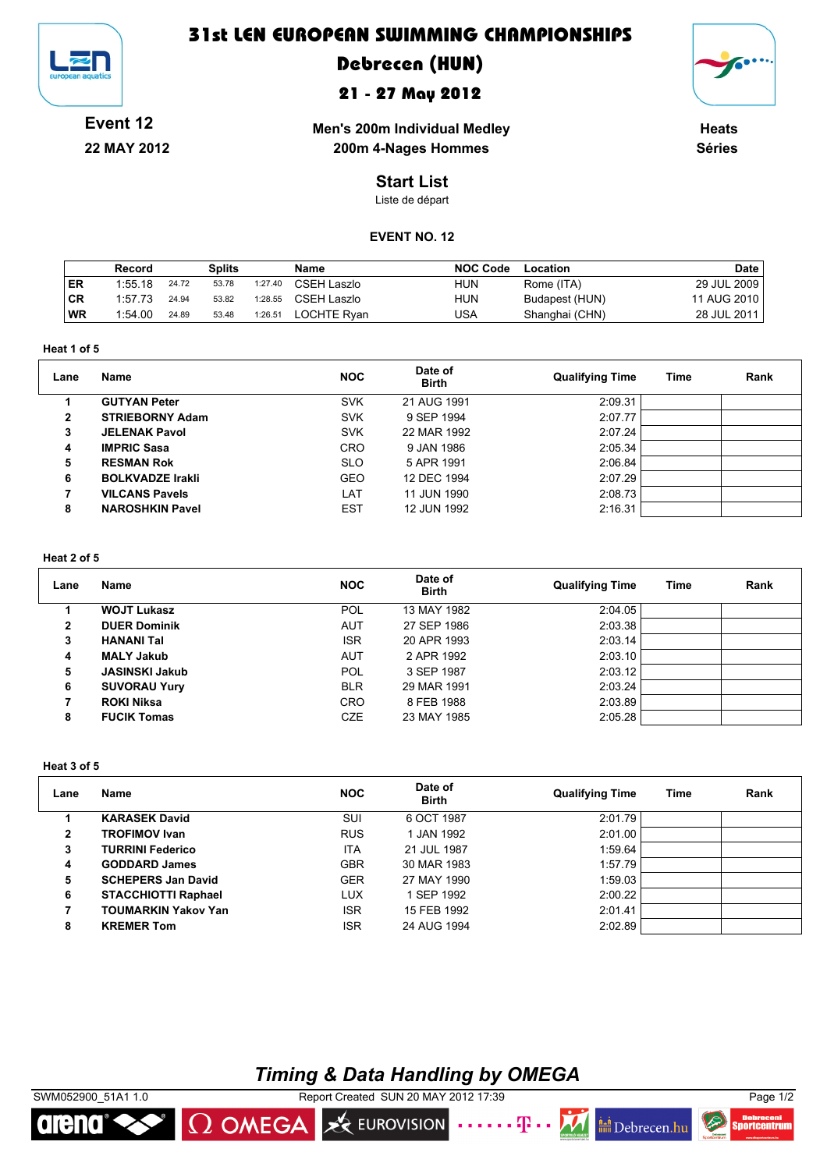

### **31st LEN EUROPEAN SWIMMING CHAMPIONSHIPS**

# **Debrecen (HUN)**

### **21 - 27 May 2012**



**Event 12 22 MAY 2012**

**Men's 200m Individual Medley 200m 4-Nages Hommes** 

**Heats Séries**

### **Start List**

Liste de départ

### **EVENT NO. 12**

|    | Record  |       | <b>Splits</b> |         | Name        | <b>NOC Code</b> | Location       | <b>Date</b> |
|----|---------|-------|---------------|---------|-------------|-----------------|----------------|-------------|
| ER | 1:55.18 | 24.72 | 53.78         | 1:27.40 | CSEH Laszlo | <b>HUN</b>      | Rome (ITA)     | 29 JUL 2009 |
| CR | 1:57.73 | 24.94 | 53.82         | 1:28.55 | CSEH Laszlo | <b>HUN</b>      | Budapest (HUN) | 11 AUG 2010 |
| WR | 1:54.00 | 24.89 | 53.48         | 1:26.51 | LOCHTE Rvan | USA             | Shanghai (CHN) | 28 JUL 2011 |

**Heat 1 of 5**

| Lane         | Name                    | <b>NOC</b> | Date of<br><b>Birth</b> | <b>Qualifying Time</b> | Time | Rank |
|--------------|-------------------------|------------|-------------------------|------------------------|------|------|
|              | <b>GUTYAN Peter</b>     | <b>SVK</b> | 21 AUG 1991             | 2:09.31                |      |      |
| $\mathbf{2}$ | <b>STRIEBORNY Adam</b>  | <b>SVK</b> | 9 SEP 1994              | 2:07.77                |      |      |
| 3            | <b>JELENAK Pavol</b>    | <b>SVK</b> | 22 MAR 1992             | 2:07.24                |      |      |
| 4            | <b>IMPRIC Sasa</b>      | <b>CRO</b> | 9 JAN 1986              | 2:05.34                |      |      |
| 5            | <b>RESMAN Rok</b>       | <b>SLO</b> | 5 APR 1991              | 2:06.84                |      |      |
| 6            | <b>BOLKVADZE Irakli</b> | <b>GEO</b> | 12 DEC 1994             | 2:07.29                |      |      |
|              | <b>VILCANS Pavels</b>   | LAT        | 11 JUN 1990             | 2:08.73                |      |      |
| 8            | <b>NAROSHKIN Pavel</b>  | <b>EST</b> | 12 JUN 1992             | 2:16.31                |      |      |

#### **Heat 2 of 5**

| Lane | Name                  | <b>NOC</b> | Date of<br><b>Birth</b> | <b>Qualifying Time</b> | Time | Rank |
|------|-----------------------|------------|-------------------------|------------------------|------|------|
|      | <b>WOJT Lukasz</b>    | <b>POL</b> | 13 MAY 1982             | 2:04.05                |      |      |
| 2    | <b>DUER Dominik</b>   | <b>AUT</b> | 27 SEP 1986             | 2:03.38                |      |      |
| 3    | <b>HANANI Tal</b>     | <b>ISR</b> | 20 APR 1993             | 2:03.14                |      |      |
| 4    | <b>MALY Jakub</b>     | <b>AUT</b> | 2 APR 1992              | 2:03.10                |      |      |
| 5    | <b>JASINSKI Jakub</b> | <b>POL</b> | 3 SEP 1987              | 2:03.12                |      |      |
| 6    | <b>SUVORAU Yury</b>   | <b>BLR</b> | 29 MAR 1991             | 2:03.24                |      |      |
| 7    | <b>ROKI Niksa</b>     | <b>CRO</b> | 8 FEB 1988              | 2:03.89                |      |      |
| 8    | <b>FUCIK Tomas</b>    | <b>CZE</b> | 23 MAY 1985             | 2:05.28                |      |      |

#### **Heat 3 of 5**

| Lane         | Name                       | <b>NOC</b> | Date of<br><b>Birth</b> | <b>Qualifying Time</b> | Time | Rank |
|--------------|----------------------------|------------|-------------------------|------------------------|------|------|
|              | <b>KARASEK David</b>       | SUI        | 6 OCT 1987              | 2:01.79                |      |      |
| $\mathbf{2}$ | <b>TROFIMOV Ivan</b>       | <b>RUS</b> | 1 JAN 1992              | 2:01.00                |      |      |
| 3            | <b>TURRINI Federico</b>    | <b>ITA</b> | 21 JUL 1987             | 1:59.64                |      |      |
| 4            | <b>GODDARD James</b>       | <b>GBR</b> | 30 MAR 1983             | 1:57.79                |      |      |
| 5            | <b>SCHEPERS Jan David</b>  | <b>GER</b> | 27 MAY 1990             | 1:59.03                |      |      |
| 6            | <b>STACCHIOTTI Raphael</b> | LUX        | 1 SEP 1992              | 2:00.22                |      |      |
|              | <b>TOUMARKIN Yakov Yan</b> | <b>ISR</b> | 15 FEB 1992             | 2:01.41                |      |      |
| 8            | <b>KREMER Tom</b>          | <b>ISR</b> | 24 AUG 1994             | 2:02.89                |      |      |

## *Timing & Data Handling by OMEGA*

EUROVISION



 $\Omega$  OMEGA